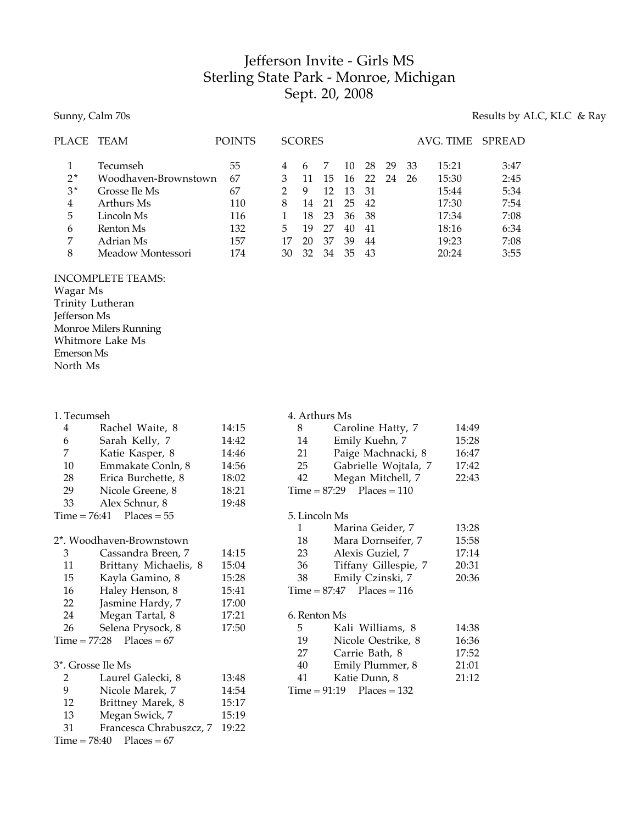## Jefferson Invite - Girls MS Sterling State Park - Monroe, Michigan Sept. 20, 2008

#### Sunny, Calm 70s Results by ALC, KLC & Ray

| PLACE | TEAM                 | <b>POINTS</b> |    | <b>SCORES</b> |    |    |    |    |    | AVG. TIME | <b>SPREAD</b> |
|-------|----------------------|---------------|----|---------------|----|----|----|----|----|-----------|---------------|
|       | Tecumseh             | 55            | 4  | h             |    | 10 | 28 | 29 | 33 | 15:21     | 3:47          |
| $2*$  | Woodhaven-Brownstown | 67            |    |               | 15 | 16 | 22 | 24 | 26 | 15:30     | 2:45          |
| $3*$  | Grosse Ile Ms        | 67            |    | 9             | 12 | 13 | 31 |    |    | 15:44     | 5:34          |
| 4     | Arthurs Ms           | 110           | 8  | 14            | 21 | 25 | 42 |    |    | 17:30     | 7:54          |
| 5     | Lincoln Ms           | 116           |    | 18            | 23 | 36 | 38 |    |    | 17:34     | 7:08          |
| 6     | Renton Ms            | 132           | 5  | 19            | 27 | 40 | 41 |    |    | 18:16     | 6:34          |
| 7     | Adrian Ms            | 157           | 17 | 20            | 37 | 39 | 44 |    |    | 19:23     | 7:08          |
| 8     | Meadow Montessori    | 174           | 30 | 32            | 34 | 35 | 43 |    |    | 20:24     | 3:55          |

### INCOMPLETE TEAMS:

Wagar Ms Trinity Lutheran Jefferson Ms Monroe Milers Running Whitmore Lake Ms Emerson Ms North Ms

| 4  | Rachel Waite, 8            | 14:15 |
|----|----------------------------|-------|
| 6  | Sarah Kelly, 7             | 14:42 |
| 7  | Katie Kasper, 8            | 14:46 |
| 10 | Emmakate Conln, 8          | 14:56 |
| 28 | Erica Burchette, 8         | 18:02 |
| 29 | Nicole Greene, 8           | 18:21 |
| 33 | Alex Schnur, 8             | 19:48 |
|    | $Time = 76:41$ Places = 55 |       |

# 2<sup>\*</sup>. Woodhaven-Brownstown<br>2<sup>2</sup> Cassandra Broon

| 3                            | Cassandra Breen, 7    | 14:15 |  |  |  |
|------------------------------|-----------------------|-------|--|--|--|
| 11                           | Brittany Michaelis, 8 | 15:04 |  |  |  |
| 15                           | Kayla Gamino, 8       | 15:28 |  |  |  |
| 16                           | Haley Henson, 8       | 15:41 |  |  |  |
| 22                           | Jasmine Hardy, 7      | 17:00 |  |  |  |
| 24                           | Megan Tartal, 8       | 17:21 |  |  |  |
| 26                           | Selena Prysock, 8     | 17:50 |  |  |  |
| Time = $77:28$ Places = $67$ |                       |       |  |  |  |
|                              |                       |       |  |  |  |
| 3*. Grosse Ile Ms            |                       |       |  |  |  |
|                              |                       |       |  |  |  |

| 2  | Laurel Galecki, 8            | 13:48 |
|----|------------------------------|-------|
| 9  | Nicole Marek, 7              | 14:54 |
| 12 | Brittney Marek, 8            | 15:17 |
| 13 | Megan Swick, 7               | 15:19 |
| 31 | Francesca Chrabuszcz, 7      | 19:22 |
|    | $Time = 78:40$ $Places = 67$ |       |

| 4. Arthurs Ms |                             |       |
|---------------|-----------------------------|-------|
| 8 — 1         | Caroline Hatty, 7           | 14:49 |
| 14            | Emily Kuehn, 7              | 15:28 |
| 21            | Paige Machnacki, 8          | 16:47 |
| 25            | Gabrielle Wojtala, 7        | 17:42 |
| 42            | Megan Mitchell, 7           | 22:43 |
|               | $Time = 87:29$ Places = 110 |       |
| 5. Lincoln Ms |                             |       |
| 1             | Marina Geider, 7            | 13:28 |
| 18            | Mara Dornseifer, 7          | 15:58 |
| 23            | Alexis Guziel, 7            | 17:14 |
| 36            | Tiffany Gillespie, 7        | 20:31 |
| 38            | Emily Czinski, 7            | 20:36 |
|               | $Time = 87:47$ Places = 116 |       |
| 6. Renton Ms  |                             |       |
| 5             | Kali Williams, 8            | 14:38 |
| 19            | Nicole Oestrike, 8          | 16.36 |

| $\sqrt{2}$ | TVICOR OCSHING, O             | 10.OU |
|------------|-------------------------------|-------|
| 27         | Carrie Bath, 8                | 17:52 |
| 40         | Emily Plummer, 8              | 21:01 |
| 41         | Katie Dunn. 8                 | 21:12 |
|            | $Time = 91:19$ $Places = 132$ |       |